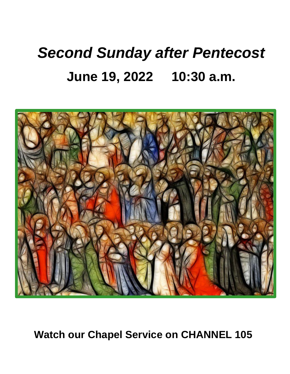# *Second Sunday after Pentecost* **June 19, 2022 10:30 a.m.**



**Watch our Chapel Service on CHANNEL 105**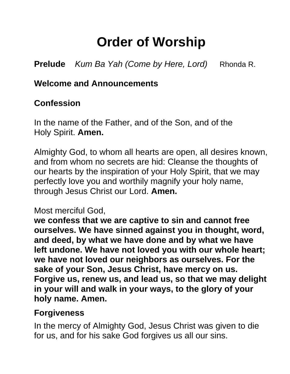## **Order of Worship**

**Prelude** *Kum Ba Yah (Come by Here, Lord)* Rhonda R.

#### **Welcome and Announcements**

#### **Confession**

In the name of the Father, and of the Son, and of the Holy Spirit. **Amen.**

Almighty God, to whom all hearts are open, all desires known, and from whom no secrets are hid: Cleanse the thoughts of our hearts by the inspiration of your Holy Spirit, that we may perfectly love you and worthily magnify your holy name, through Jesus Christ our Lord. **Amen.**

#### Most merciful God,

**we confess that we are captive to sin and cannot free ourselves. We have sinned against you in thought, word, and deed, by what we have done and by what we have left undone. We have not loved you with our whole heart; we have not loved our neighbors as ourselves. For the sake of your Son, Jesus Christ, have mercy on us. Forgive us, renew us, and lead us, so that we may delight in your will and walk in your ways, to the glory of your holy name. Amen.**

#### **Forgiveness**

In the mercy of Almighty God, Jesus Christ was given to die for us, and for his sake God forgives us all our sins.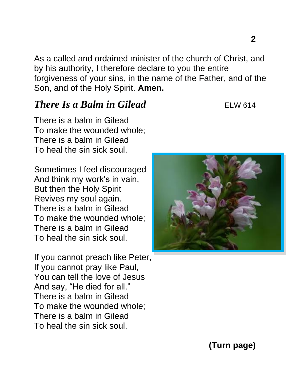As a called and ordained minister of the church of Christ, and by his authority, I therefore declare to you the entire forgiveness of your sins, in the name of the Father, and of the Son, and of the Holy Spirit. **Amen.**

#### *There Is a Balm in Gilead* ELW 614

There is a balm in Gilead To make the wounded whole; There is a balm in Gilead To heal the sin sick soul.

Sometimes I feel discouraged And think my work's in vain, But then the Holy Spirit Revives my soul again. There is a balm in Gilead To make the wounded whole; There is a balm in Gilead To heal the sin sick soul.

If you cannot preach like Peter, If you cannot pray like Paul, You can tell the love of Jesus And say, "He died for all." There is a balm in Gilead To make the wounded whole; There is a balm in Gilead To heal the sin sick soul.

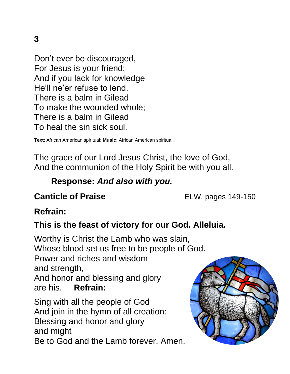Don't ever be discouraged, For Jesus is your friend; And if you lack for knowledge He'll ne'er refuse to lend. There is a balm in Gilead To make the wounded whole; There is a balm in Gilead To heal the sin sick soul.

**Text**: African American spiritual; **Music**: African American spiritual.

The grace of our Lord Jesus Christ, the love of God, And the communion of the Holy Spirit be with you all.

#### **Response:** *And also with you.*

#### **Canticle of Praise** ELW, pages 149-150

#### **Refrain:**

#### **This is the feast of victory for our God. Alleluia.**

Worthy is Christ the Lamb who was slain, Whose blood set us free to be people of God.

Power and riches and wisdom and strength,

And honor and blessing and glory are his. **Refrain:**

Sing with all the people of God And join in the hymn of all creation: Blessing and honor and glory and might Be to God and the Lamb forever. Amen.

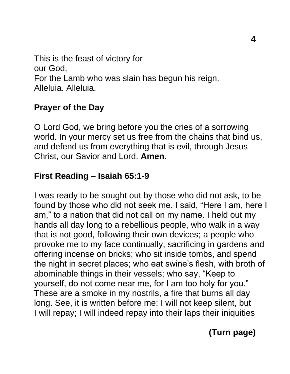This is the feast of victory for our God, For the Lamb who was slain has begun his reign. Alleluia. Alleluia.

#### **Prayer of the Day**

O Lord God, we bring before you the cries of a sorrowing world. In your mercy set us free from the chains that bind us, and defend us from everything that is evil, through Jesus Christ, our Savior and Lord. **Amen.**

#### **First Reading – Isaiah 65:1-9**

I was ready to be sought out by those who did not ask, to be found by those who did not seek me. I said, "Here I am, here I am," to a nation that did not call on my name. I held out my hands all day long to a rebellious people, who walk in a way that is not good, following their own devices; a people who provoke me to my face continually, sacrificing in gardens and offering incense on bricks; who sit inside tombs, and spend the night in secret places; who eat swine's flesh, with broth of abominable things in their vessels; who say, "Keep to yourself, do not come near me, for I am too holy for you." These are a smoke in my nostrils, a fire that burns all day long. See, it is written before me: I will not keep silent, but I will repay; I will indeed repay into their laps their iniquities

### **(Turn page)**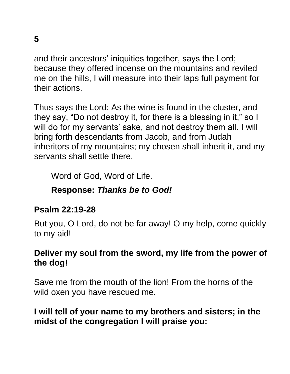and their ancestors' iniquities together, says the Lord; because they offered incense on the mountains and reviled me on the hills, I will measure into their laps full payment for their actions.

Thus says the Lord: As the wine is found in the cluster, and they say, "Do not destroy it, for there is a blessing in it," so I will do for my servants' sake, and not destroy them all. I will bring forth descendants from Jacob, and from Judah inheritors of my mountains; my chosen shall inherit it, and my servants shall settle there.

Word of God, Word of Life.

#### **Response:** *Thanks be to God!*

#### **Psalm 22:19-28**

But you, O Lord, do not be far away! O my help, come quickly to my aid!

#### **Deliver my soul from the sword, my life from the power of the dog!**

Save me from the mouth of the lion! From the horns of the wild oxen you have rescued me.

#### **I will tell of your name to my brothers and sisters; in the midst of the congregation I will praise you:**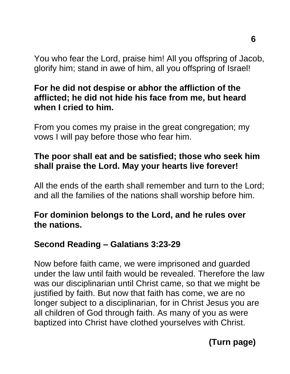You who fear the Lord, praise him! All you offspring of Jacob, glorify him; stand in awe of him, all you offspring of Israel!

#### **For he did not despise or abhor the affliction of the afflicted; he did not hide his face from me, but heard when I cried to him.**

From you comes my praise in the great congregation; my vows I will pay before those who fear him.

#### **The poor shall eat and be satisfied; those who seek him shall praise the Lord. May your hearts live forever!**

All the ends of the earth shall remember and turn to the Lord; and all the families of the nations shall worship before him.

#### **For dominion belongs to the Lord, and he rules over the nations.**

#### **Second Reading – Galatians 3:23-29**

Now before faith came, we were imprisoned and guarded under the law until faith would be revealed. Therefore the law was our disciplinarian until Christ came, so that we might be justified by faith. But now that faith has come, we are no longer subject to a disciplinarian, for in Christ Jesus you are all children of God through faith. As many of you as were baptized into Christ have clothed yourselves with Christ.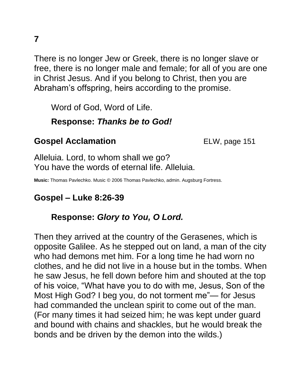There is no longer Jew or Greek, there is no longer slave or free, there is no longer male and female; for all of you are one in Christ Jesus. And if you belong to Christ, then you are Abraham's offspring, heirs according to the promise.

Word of God, Word of Life.

#### **Response:** *Thanks be to God!*

#### **Gospel Acclamation ELW**, page 151

Alleluia. Lord, to whom shall we go? You have the words of eternal life. Alleluia.

**Music:** Thomas Pavlechko. Music © 2006 Thomas Pavlechko, admin. Augsburg Fortress.

#### **Gospel – Luke 8:26-39**

#### **Response:** *Glory to You, O Lord.*

Then they arrived at the country of the Gerasenes, which is opposite Galilee. As he stepped out on land, a man of the city who had demons met him. For a long time he had worn no clothes, and he did not live in a house but in the tombs. When he saw Jesus, he fell down before him and shouted at the top of his voice, "What have you to do with me, Jesus, Son of the Most High God? I beg you, do not torment me"— for Jesus had commanded the unclean spirit to come out of the man. (For many times it had seized him; he was kept under guard and bound with chains and shackles, but he would break the bonds and be driven by the demon into the wilds.)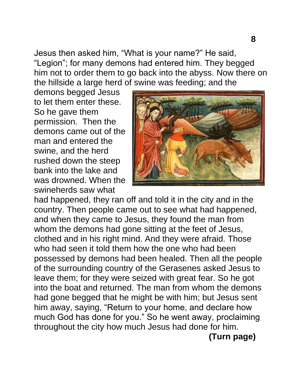Jesus then asked him, "What is your name?" He said, "Legion"; for many demons had entered him. They begged him not to order them to go back into the abyss. Now there on the hillside a large herd of swine was feeding; and the

demons begged Jesus to let them enter these. So he gave them permission. Then the demons came out of the man and entered the swine, and the herd rushed down the steep bank into the lake and was drowned. When the swineherds saw what



had happened, they ran off and told it in the city and in the country. Then people came out to see what had happened, and when they came to Jesus, they found the man from whom the demons had gone sitting at the feet of Jesus, clothed and in his right mind. And they were afraid. Those who had seen it told them how the one who had been possessed by demons had been healed. Then all the people of the surrounding country of the Gerasenes asked Jesus to leave them; for they were seized with great fear. So he got into the boat and returned. The man from whom the demons had gone begged that he might be with him; but Jesus sent him away, saying, "Return to your home, and declare how much God has done for you." So he went away, proclaiming throughout the city how much Jesus had done for him.

**(Turn page)**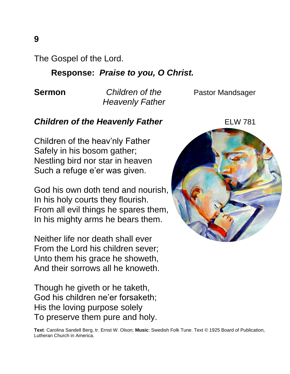The Gospel of the Lord.

#### **Response:** *Praise to you, O Christ.*

 *Heavenly Father*

**Sermon** *Children of the* **Pastor Mandsager** 

#### **Children of the Heavenly Father** ELW 781

Children of the heav'nly Father Safely in his bosom gather; Nestling bird nor star in heaven Such a refuge e'er was given.

God his own doth tend and nourish, In his holy courts they flourish. From all evil things he spares them, In his mighty arms he bears them.

Neither life nor death shall ever From the Lord his children sever; Unto them his grace he showeth, And their sorrows all he knoweth.

Though he giveth or he taketh, God his children ne'er forsaketh; His the loving purpose solely To preserve them pure and holy.



**Text**: Carolina Sandell Berg, tr. Ernst W. Olson; **Music**: Swedish Folk Tune. Text © 1925 Board of Publication, Lutheran Church in America.

**9**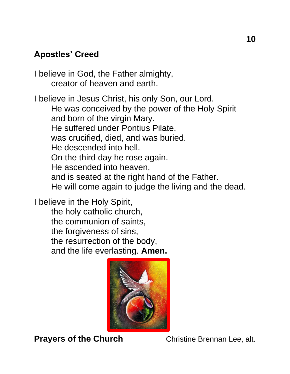#### **Apostles' Creed**

I believe in God, the Father almighty, creator of heaven and earth.

I believe in Jesus Christ, his only Son, our Lord. He was conceived by the power of the Holy Spirit and born of the virgin Mary. He suffered under Pontius Pilate, was crucified, died, and was buried. He descended into hell. On the third day he rose again. He ascended into heaven, and is seated at the right hand of the Father. He will come again to judge the living and the dead.

I believe in the Holy Spirit,

the holy catholic church, the communion of saints, the forgiveness of sins, the resurrection of the body, and the life everlasting. **Amen.**



**Prayers of the Church Christine Brennan Lee, alt.**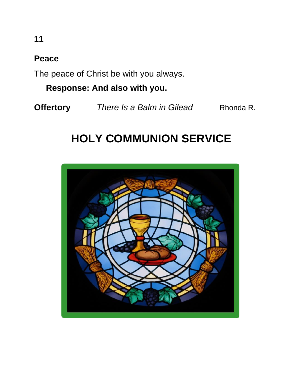#### **Peace**

The peace of Christ be with you always.

 **Response: And also with you.**

**Offertory** There Is a Balm in Gilead Rhonda R.

## **HOLY COMMUNION SERVICE**

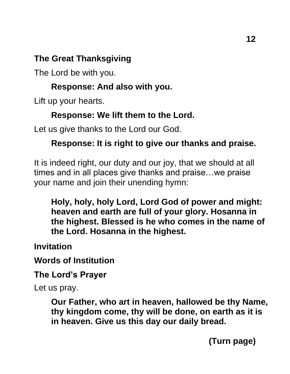#### **The Great Thanksgiving**

The Lord be with you.

#### **Response: And also with you.**

Lift up your hearts.

#### **Response: We lift them to the Lord.**

Let us give thanks to the Lord our God.

#### **Response: It is right to give our thanks and praise.**

It is indeed right, our duty and our joy, that we should at all times and in all places give thanks and praise…we praise your name and join their unending hymn:

**Holy, holy, holy Lord, Lord God of power and might: heaven and earth are full of your glory. Hosanna in the highest. Blessed is he who comes in the name of the Lord. Hosanna in the highest.**

**Invitation**

**Words of Institution**

**The Lord's Prayer**

Let us pray.

**Our Father, who art in heaven, hallowed be thy Name, thy kingdom come, thy will be done, on earth as it is in heaven. Give us this day our daily bread.** 

**(Turn page)**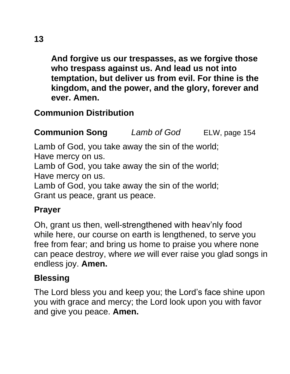**And forgive us our trespasses, as we forgive those who trespass against us. And lead us not into temptation, but deliver us from evil. For thine is the kingdom, and the power, and the glory, forever and ever. Amen.**

### **Communion Distribution**

**Communion Song** *Lamb of God* ELW, page 154

Lamb of God, you take away the sin of the world; Have mercy on us.

Lamb of God, you take away the sin of the world; Have mercy on us.

Lamb of God, you take away the sin of the world; Grant us peace, grant us peace.

#### **Prayer**

Oh, grant us then, well-strengthened with heav'nly food while here, our course on earth is lengthened, to serve you free from fear; and bring us home to praise you where none can peace destroy, where *we* will ever raise you glad songs in endless joy. **Amen.**

#### **Blessing**

The Lord bless you and keep you; the Lord's face shine upon you with grace and mercy; the Lord look upon you with favor and give you peace. **Amen.**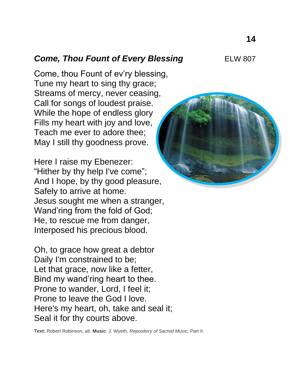#### **Come, Thou Fount of Every Blessing ELW 807**

Come, thou Fount of ev'ry blessing, Tune my heart to sing thy grace; Streams of mercy, never ceasing, Call for songs of loudest praise. While the hope of endless glory Fills my heart with joy and love, Teach me ever to adore thee; May I still thy goodness prove.

Here I raise my Ebenezer: "Hither by thy help I've come"; And I hope, by thy good pleasure, Safely to arrive at home. Jesus sought me when a stranger, Wand'ring from the fold of God; He, to rescue me from danger, Interposed his precious blood.

Oh, to grace how great a debtor Daily I'm constrained to be; Let that grace, now like a fetter, Bind my wand'ring heart to thee. Prone to wander, Lord, I feel it; Prone to leave the God I love. Here's my heart, oh, take and seal it; Seal it for thy courts above.

**Text:** Robert Robinson, alt. **Music***:* J. Wyeth*, Repository of Sacred Music,* Part II.